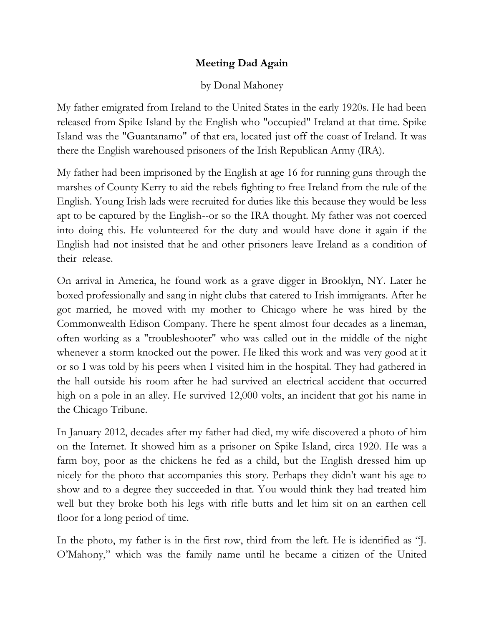## **Meeting Dad Again**

## by Donal Mahoney

My father emigrated from Ireland to the United States in the early 1920s. He had been released from Spike Island by the English who "occupied" Ireland at that time. Spike Island was the "Guantanamo" of that era, located just off the coast of Ireland. It was there the English warehoused prisoners of the Irish Republican Army (IRA).

My father had been imprisoned by the English at age 16 for running guns through the marshes of County Kerry to aid the rebels fighting to free Ireland from the rule of the English. Young Irish lads were recruited for duties like this because they would be less apt to be captured by the English--or so the IRA thought. My father was not coerced into doing this. He volunteered for the duty and would have done it again if the English had not insisted that he and other prisoners leave Ireland as a condition of their release.

On arrival in America, he found work as a grave digger in Brooklyn, NY. Later he boxed professionally and sang in night clubs that catered to Irish immigrants. After he got married, he moved with my mother to Chicago where he was hired by the Commonwealth Edison Company. There he spent almost four decades as a lineman, often working as a "troubleshooter" who was called out in the middle of the night whenever a storm knocked out the power. He liked this work and was very good at it or so I was told by his peers when I visited him in the hospital. They had gathered in the hall outside his room after he had survived an electrical accident that occurred high on a pole in an alley. He survived 12,000 volts, an incident that got his name in the Chicago Tribune.

In January 2012, decades after my father had died, my wife discovered a photo of him on the Internet. It showed him as a prisoner on Spike Island, circa 1920. He was a farm boy, poor as the chickens he fed as a child, but the English dressed him up nicely for the photo that accompanies this story. Perhaps they didn't want his age to show and to a degree they succeeded in that. You would think they had treated him well but they broke both his legs with rifle butts and let him sit on an earthen cell floor for a long period of time.

In the photo, my father is in the first row, third from the left. He is identified as "J. O'Mahony," which was the family name until he became a citizen of the United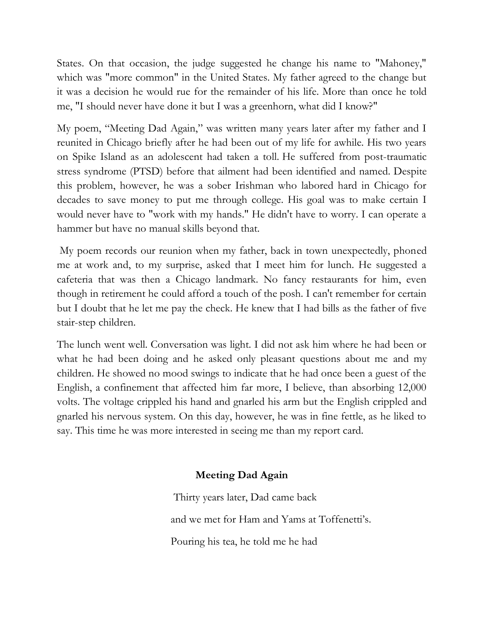States. On that occasion, the judge suggested he change his name to "Mahoney," which was "more common" in the United States. My father agreed to the change but it was a decision he would rue for the remainder of his life. More than once he told me, "I should never have done it but I was a greenhorn, what did I know?"

My poem, "Meeting Dad Again," was written many years later after my father and I reunited in Chicago briefly after he had been out of my life for awhile. His two years on Spike Island as an adolescent had taken a toll. He suffered from post-traumatic stress syndrome (PTSD) before that ailment had been identified and named. Despite this problem, however, he was a sober Irishman who labored hard in Chicago for decades to save money to put me through college. His goal was to make certain I would never have to "work with my hands." He didn't have to worry. I can operate a hammer but have no manual skills beyond that.

My poem records our reunion when my father, back in town unexpectedly, phoned me at work and, to my surprise, asked that I meet him for lunch. He suggested a cafeteria that was then a Chicago landmark. No fancy restaurants for him, even though in retirement he could afford a touch of the posh. I can't remember for certain but I doubt that he let me pay the check. He knew that I had bills as the father of five stair-step children.

The lunch went well. Conversation was light. I did not ask him where he had been or what he had been doing and he asked only pleasant questions about me and my children. He showed no mood swings to indicate that he had once been a guest of the English, a confinement that affected him far more, I believe, than absorbing 12,000 volts. The voltage crippled his hand and gnarled his arm but the English crippled and gnarled his nervous system. On this day, however, he was in fine fettle, as he liked to say. This time he was more interested in seeing me than my report card.

## **Meeting Dad Again**

Thirty years later, Dad came back and we met for Ham and Yams at Toffenetti's. Pouring his tea, he told me he had